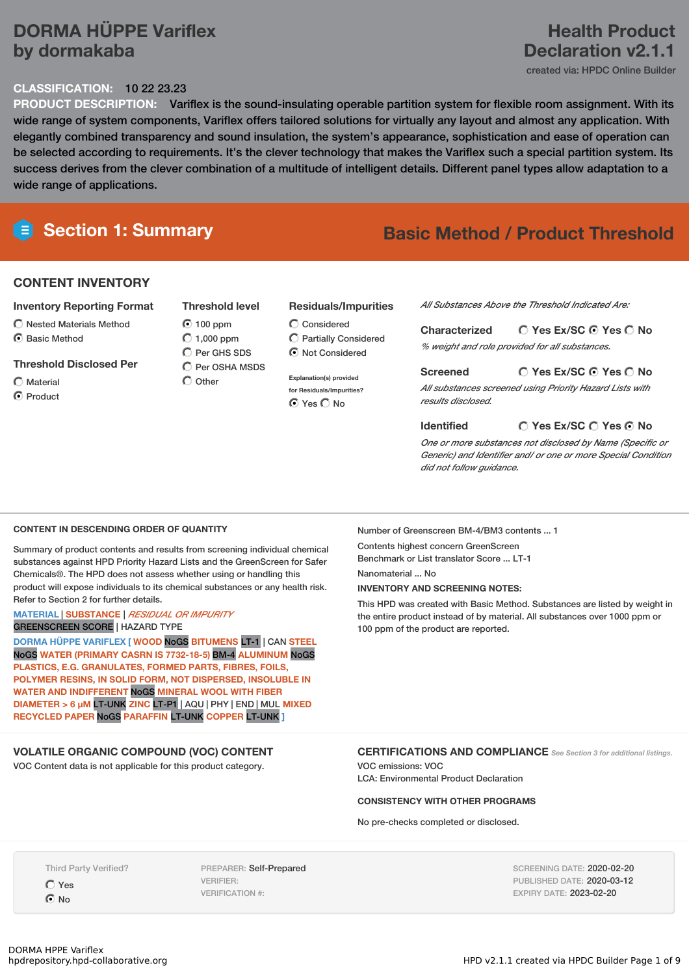# **DORMA HÜPPE Variflex by dormakaba**

#### **CLASSIFICATION:** 10 22 23.23

**PRODUCT DESCRIPTION:** Variflex is the sound-insulating operable partition system for flexible room assignment. With its wide range of system components, Variflex offers tailored solutions for virtually any layout and almost any application. With elegantly combined transparency and sound insulation, the system's appearance, sophistication and ease of operation can be selected according to requirements. It's the clever technology that makes the Variflex such a special partition system. Its success derives from the clever combination of a multitude of intelligent details. Different panel types allow adaptation to a wide range of applications.

# **Section 1: Summary Basic Method / Product Threshold**

## **CONTENT INVENTORY**

#### **Inventory Reporting Format**

- $\bigcirc$  Nested Materials Method
- C Basic Method

#### **Threshold Disclosed Per**

Material C Product

- **Threshold level** 100 ppm  $O$  1,000 ppm C Per GHS SDS
- $\bigcap$  Per OSHA MSDS  $\bigcap$  Other

#### **Residuals/Impurities**

Considered Partially Considered  $\odot$  Not Considered

**Explanation(s) provided for Residuals/Impurities?** ⊙ Yes O No

*All Substances Above the Threshold Indicated Are:*

#### **Yes Ex/SC Yes No Characterized**

*% weight and role provided for all substances.*

## **Yes Ex/SC Yes No**

*All substances screened using Priority Hazard Lists with results disclosed.*

#### **Yes Ex/SC Yes No Identified**

*One or more substances not disclosed by Name (Specific or Generic) and Identifier and/ or one or more Special Condition did not follow guidance.*

#### **CONTENT IN DESCENDING ORDER OF QUANTITY**

Summary of product contents and results from screening individual chemical substances against HPD Priority Hazard Lists and the GreenScreen for Safer Chemicals®. The HPD does not assess whether using or handling this product will expose individuals to its chemical substances or any health risk. Refer to Section 2 for further details.

#### **MATERIAL** | **SUBSTANCE** | *RESIDUAL OR IMPURITY* GREENSCREEN SCORE | HAZARD TYPE

**DORMA HÜPPE VARIFLEX [ WOOD** NoGS **BITUMENS** LT-1 | CAN **STEEL** NoGS **WATER (PRIMARY CASRN IS 7732-18-5)** BM-4 **ALUMINUM** NoGS **PLASTICS, E.G. GRANULATES, FORMED PARTS, FIBRES, FOILS, POLYMER RESINS, IN SOLID FORM, NOT DISPERSED, INSOLUBLE IN WATER AND INDIFFERENT** NoGS **MINERAL WOOL WITH FIBER DIAMETER > 6 μM** LT-UNK **ZINC** LT-P1 | AQU | PHY | END | MUL **MIXED RECYCLED PAPER** NoGS **PARAFFIN** LT-UNK **COPPER** LT-UNK **]**

#### **VOLATILE ORGANIC COMPOUND (VOC) CONTENT**

VOC Content data is not applicable for this product category.

Number of Greenscreen BM-4/BM3 contents ... 1

Contents highest concern GreenScreen Benchmark or List translator Score ... LT-1

**Screened**

Nanomaterial ... No

#### **INVENTORY AND SCREENING NOTES:**

This HPD was created with Basic Method. Substances are listed by weight in the entire product instead of by material. All substances over 1000 ppm or 100 ppm of the product are reported.

#### **CERTIFICATIONS AND COMPLIANCE** *See Section <sup>3</sup> for additional listings.*

VOC emissions: VOC LCA: Environmental Product Declaration

#### **CONSISTENCY WITH OTHER PROGRAMS**

No pre-checks completed or disclosed.

Third Party Verified?

Yes  $\odot$  No

PREPARER: Self-Prepared VERIFIER: VERIFICATION #:

SCREENING DATE: 2020-02-20 PUBLISHED DATE: 2020-03-12 EXPIRY DATE: 2023-02-20

# **Health Product Declaration v2.1.1**

created via: HPDC Online Builder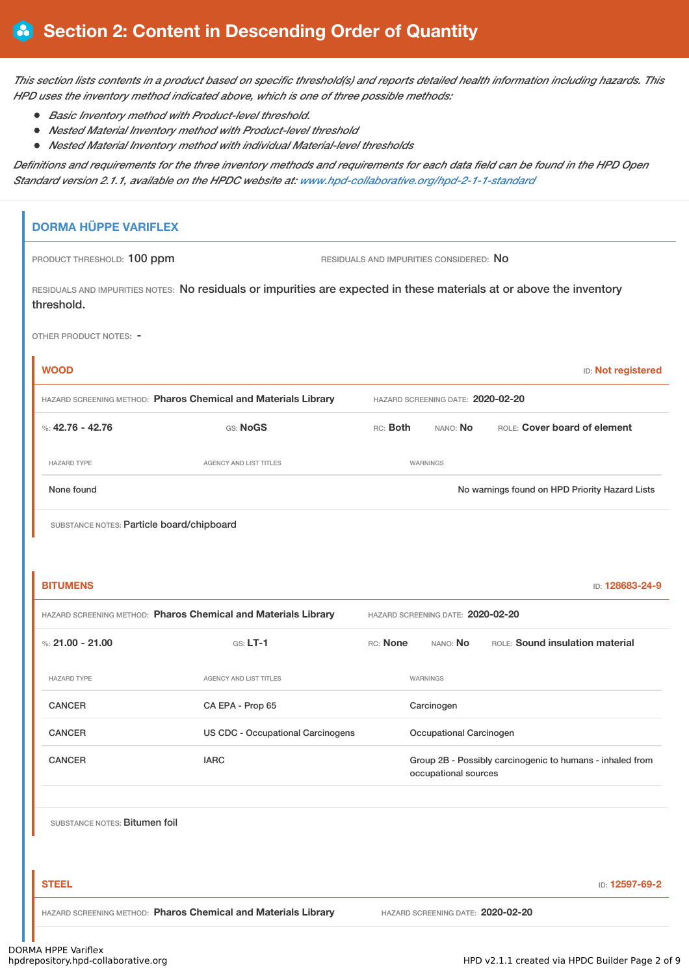This section lists contents in a product based on specific threshold(s) and reports detailed health information including hazards. This *HPD uses the inventory method indicated above, which is one of three possible methods:*

- *Basic Inventory method with Product-level threshold.*
- *Nested Material Inventory method with Product-level threshold*
- $\bullet$ *Nested Material Inventory method with individual Material-level thresholds*

Definitions and requirements for the three inventory methods and requirements for each data field can be found in the HPD Open *Standard version 2.1.1, available on the HPDC website at: [www.hpd-collaborative.org/hpd-2-1-1-standard](https://www.hpd-collaborative.org/hpd-2-1-1-standard)*

# **DORMA HÜPPE VARIFLEX** PRODUCT THRESHOLD: 100 ppm RESIDUALS AND IMPURITIES CONSIDERED: No RESIDUALS AND IMPURITIES NOTES: No residuals or impurities are expected in these materials at or above the inventory threshold. OTHER PRODUCT NOTES: - **WOOD** ID: **Not registered** HAZARD SCREENING METHOD: **Pharos Chemical and Materials Library** HAZARD SCREENING DATE: **2020-02-20** %: **42.76 - 42.76** GS: **NoGS** RC: **Both** NANO: **No** ROLE: **Cover board of element** HAZARD TYPE THE RESERVED ON AGENCY AND LIST TITLES THE RESERVED ON A MARNINGS None found Nowarnings found on HPD Priority Hazard Lists SUBSTANCE NOTES: Particle board/chipboard **BITUMENS** ID: **128683-24-9** HAZARD SCREENING METHOD: **Pharos Chemical and Materials Library** HAZARD SCREENING DATE: **2020-02-20** %: **21.00** - **21.00 COLE: Sound insulation material** GS: LT-1 RC: None NANO: No ROLE: Sound insulation material HAZARD TYPE AGENCY AND LIST TITLES WARNINGS CANCER CA EPA - Prop 65 Carcinogen CANCER US CDC - Occupational Carcinogens Occupational Carcinogen CANCER **IARC** IARC **GROUP 2B - Possibly carcinogenic to humans - inhaled from** occupational sources SUBSTANCE NOTES: Bitumen foil **STEEL** ID: **12597-69-2** HAZARD SCREENING METHOD: **Pharos Chemical and Materials Library** HAZARD SCREENING DATE: **2020-02-20**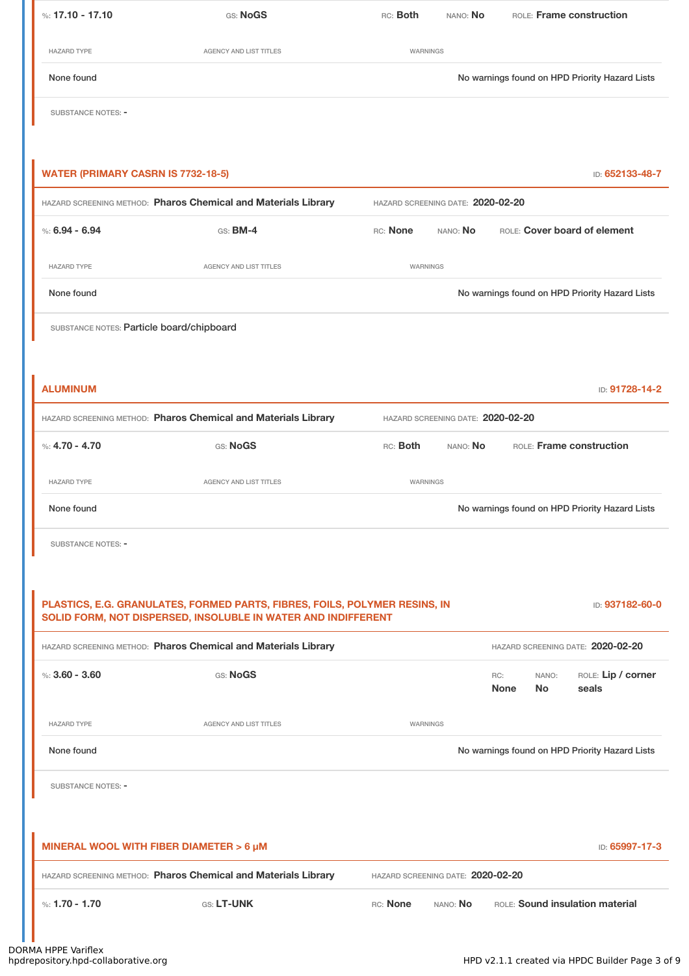| %: $17.10 - 17.10$                                                                            | GS: NoGS                                                       | RC: Both                          | NANO: No                          |                    |                    | ROLE: Frame construction                       |
|-----------------------------------------------------------------------------------------------|----------------------------------------------------------------|-----------------------------------|-----------------------------------|--------------------|--------------------|------------------------------------------------|
| <b>HAZARD TYPE</b>                                                                            | AGENCY AND LIST TITLES                                         | WARNINGS                          |                                   |                    |                    |                                                |
| None found                                                                                    |                                                                |                                   |                                   |                    |                    | No warnings found on HPD Priority Hazard Lists |
| <b>SUBSTANCE NOTES: -</b>                                                                     |                                                                |                                   |                                   |                    |                    |                                                |
|                                                                                               |                                                                |                                   |                                   |                    |                    |                                                |
| <b>WATER (PRIMARY CASRN IS 7732-18-5)</b>                                                     |                                                                |                                   |                                   |                    |                    | ID: 652133-48-7                                |
|                                                                                               | HAZARD SCREENING METHOD: Pharos Chemical and Materials Library | HAZARD SCREENING DATE: 2020-02-20 |                                   |                    |                    |                                                |
| %: $6.94 - 6.94$                                                                              | $GS:$ BM-4                                                     | RC: None                          | NANO: No                          |                    |                    | ROLE: Cover board of element                   |
| <b>HAZARD TYPE</b>                                                                            | AGENCY AND LIST TITLES                                         | WARNINGS                          |                                   |                    |                    |                                                |
| None found                                                                                    |                                                                |                                   |                                   |                    |                    | No warnings found on HPD Priority Hazard Lists |
| SUBSTANCE NOTES: Particle board/chipboard                                                     |                                                                |                                   |                                   |                    |                    |                                                |
|                                                                                               |                                                                |                                   |                                   |                    |                    |                                                |
| <b>ALUMINUM</b>                                                                               |                                                                |                                   |                                   |                    |                    | ID: 91728-14-2                                 |
|                                                                                               | HAZARD SCREENING METHOD: Pharos Chemical and Materials Library |                                   | HAZARD SCREENING DATE: 2020-02-20 |                    |                    |                                                |
| %: $4.70 - 4.70$                                                                              | GS: NoGS                                                       | RC: Both                          | NANO: No                          |                    |                    | ROLE: Frame construction                       |
| <b>HAZARD TYPE</b>                                                                            | <b>AGENCY AND LIST TITLES</b>                                  | <b>WARNINGS</b>                   |                                   |                    |                    |                                                |
| None found                                                                                    |                                                                |                                   |                                   |                    |                    | No warnings found on HPD Priority Hazard Lists |
| <b>SUBSTANCE NOTES: -</b>                                                                     |                                                                |                                   |                                   |                    |                    |                                                |
|                                                                                               |                                                                |                                   |                                   |                    |                    |                                                |
| PLASTICS, E.G. GRANULATES, FORMED PARTS, FIBRES, FOILS, POLYMER RESINS, IN<br>ID: 937182-60-0 |                                                                |                                   |                                   |                    |                    |                                                |
|                                                                                               | SOLID FORM, NOT DISPERSED, INSOLUBLE IN WATER AND INDIFFERENT  |                                   |                                   |                    |                    |                                                |
|                                                                                               | HAZARD SCREENING METHOD: Pharos Chemical and Materials Library |                                   |                                   |                    |                    | HAZARD SCREENING DATE: 2020-02-20              |
| %: $3.60 - 3.60$                                                                              | GS: NoGS                                                       |                                   |                                   | RC:<br><b>None</b> | NANO:<br><b>No</b> | ROLE: Lip / corner<br>seals                    |
| <b>HAZARD TYPE</b>                                                                            | AGENCY AND LIST TITLES                                         | WARNINGS                          |                                   |                    |                    |                                                |
| None found                                                                                    |                                                                |                                   |                                   |                    |                    | No warnings found on HPD Priority Hazard Lists |
| <b>SUBSTANCE NOTES: -</b>                                                                     |                                                                |                                   |                                   |                    |                    |                                                |
|                                                                                               |                                                                |                                   |                                   |                    |                    |                                                |
|                                                                                               | MINERAL WOOL WITH FIBER DIAMETER > 6 µM                        |                                   |                                   |                    |                    | ID: 65997-17-3                                 |
|                                                                                               | HAZARD SCREENING METHOD: Pharos Chemical and Materials Library | HAZARD SCREENING DATE: 2020-02-20 |                                   |                    |                    |                                                |
| %: $1.70 - 1.70$                                                                              | GS: LT-UNK                                                     | RC: None                          | NANO: No                          |                    |                    | ROLE: Sound insulation material                |
|                                                                                               |                                                                |                                   |                                   |                    |                    |                                                |

. .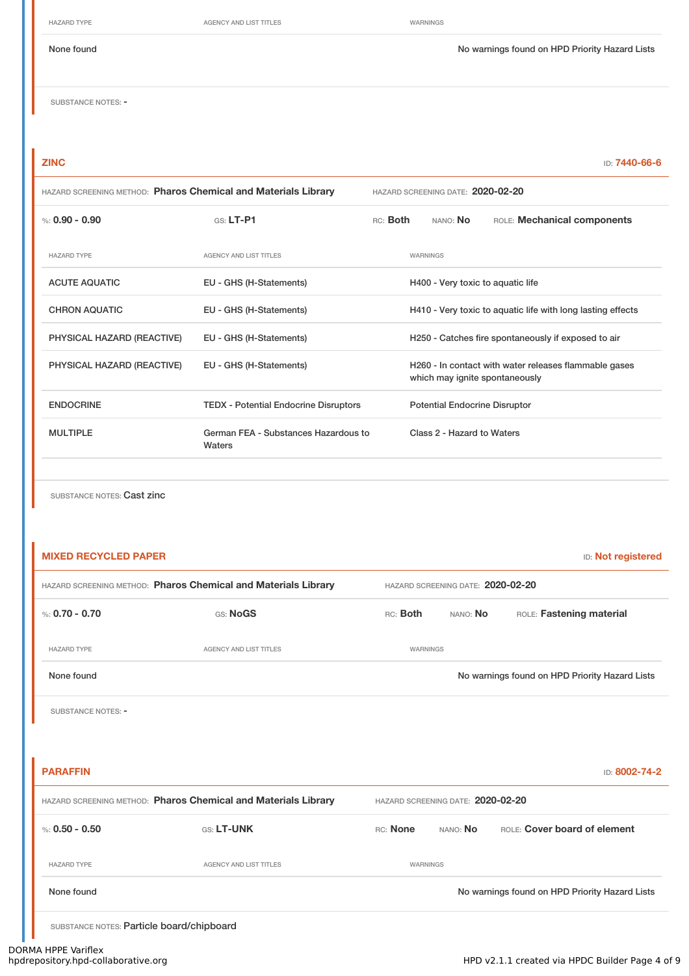HAZARD TYPE **AGENCY AND LIST TITLES** WARNINGS

None found Nowarnings found Nowarnings found on HPD Priority Hazard Lists

SUBSTANCE NOTES: -

**ZINC** ID: **7440-66-6**

| HAZARD SCREENING METHOD: Pharos Chemical and Materials Library |                                                |                                      | HAZARD SCREENING DATE: 2020-02-20                                                       |                            |                             |  |  |
|----------------------------------------------------------------|------------------------------------------------|--------------------------------------|-----------------------------------------------------------------------------------------|----------------------------|-----------------------------|--|--|
| %: $0.90 - 0.90$                                               | $G.S.$ LT-P1                                   | RC: Both                             |                                                                                         | NANO: No                   | ROLE: Mechanical components |  |  |
| <b>HAZARD TYPE</b>                                             | <b>AGENCY AND LIST TITLES</b>                  |                                      |                                                                                         | WARNINGS                   |                             |  |  |
| <b>ACUTE AQUATIC</b>                                           | EU - GHS (H-Statements)                        |                                      | H400 - Very toxic to aquatic life                                                       |                            |                             |  |  |
| <b>CHRON AQUATIC</b>                                           | EU - GHS (H-Statements)                        |                                      | H410 - Very toxic to aquatic life with long lasting effects                             |                            |                             |  |  |
| PHYSICAL HAZARD (REACTIVE)                                     | EU - GHS (H-Statements)                        |                                      | H250 - Catches fire spontaneously if exposed to air                                     |                            |                             |  |  |
| PHYSICAL HAZARD (REACTIVE)                                     | EU - GHS (H-Statements)                        |                                      | H260 - In contact with water releases flammable gases<br>which may ignite spontaneously |                            |                             |  |  |
| <b>ENDOCRINE</b>                                               | <b>TEDX - Potential Endocrine Disruptors</b>   | <b>Potential Endocrine Disruptor</b> |                                                                                         |                            |                             |  |  |
| <b>MULTIPLE</b>                                                | German FEA - Substances Hazardous to<br>Waters |                                      |                                                                                         | Class 2 - Hazard to Waters |                             |  |  |
|                                                                |                                                |                                      |                                                                                         |                            |                             |  |  |

SUBSTANCE NOTES: Cast zinc

| <b>MIXED RECYCLED PAPER</b>               |                                                                                                     |          |                                   | <b>ID:</b> Not registered                      |
|-------------------------------------------|-----------------------------------------------------------------------------------------------------|----------|-----------------------------------|------------------------------------------------|
|                                           | HAZARD SCREENING METHOD: Pharos Chemical and Materials Library                                      |          | HAZARD SCREENING DATE: 2020-02-20 |                                                |
| %: $0.70 - 0.70$                          | GS: NoGS                                                                                            | RC: Both | NANO: No                          | ROLE: Fastening material                       |
| <b>HAZARD TYPE</b>                        | <b>AGENCY AND LIST TITLES</b>                                                                       | WARNINGS |                                   |                                                |
| None found                                |                                                                                                     |          |                                   | No warnings found on HPD Priority Hazard Lists |
| SUBSTANCE NOTES: -                        |                                                                                                     |          |                                   |                                                |
|                                           |                                                                                                     |          |                                   |                                                |
| <b>PARAFFIN</b>                           |                                                                                                     |          |                                   | ID: 8002-74-2                                  |
|                                           | HAZARD SCREENING METHOD: Pharos Chemical and Materials Library<br>HAZARD SCREENING DATE: 2020-02-20 |          |                                   |                                                |
| %: $0.50 - 0.50$                          | GS: LT-UNK                                                                                          | RC: None | NANO: No                          | ROLE: Cover board of element                   |
| <b>HAZARD TYPE</b>                        | <b>AGENCY AND LIST TITLES</b>                                                                       | WARNINGS |                                   |                                                |
| None found                                |                                                                                                     |          |                                   | No warnings found on HPD Priority Hazard Lists |
| SUBSTANCE NOTES: Particle board/chipboard |                                                                                                     |          |                                   |                                                |

# DORMA HPPE Variflex<br>hpdrepository.hpd-collaborative.org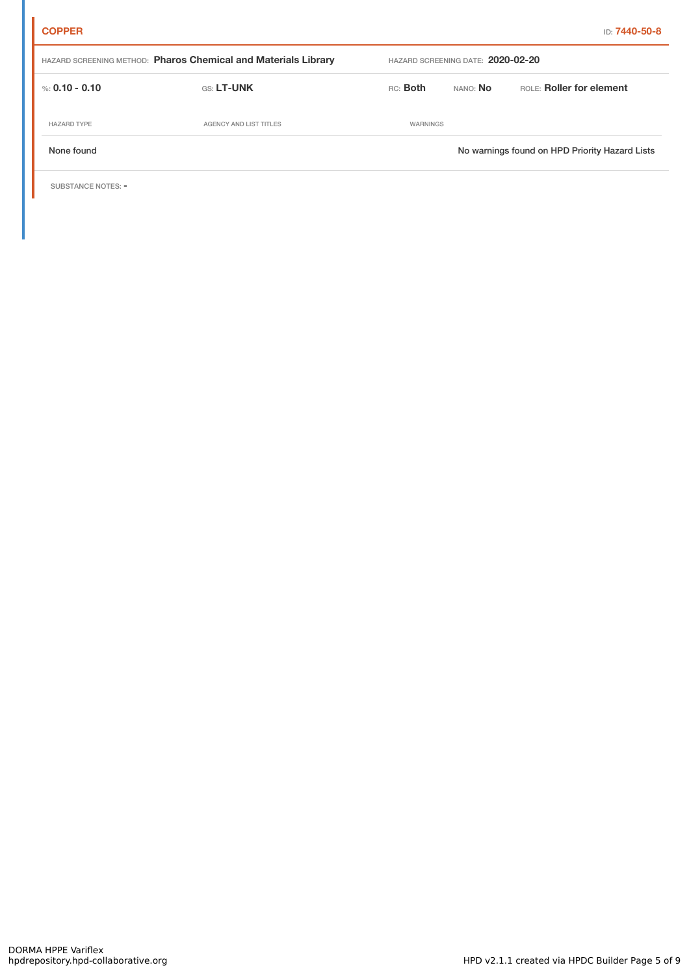| HAZARD SCREENING METHOD: Pharos Chemical and Materials Library |                        |          | HAZARD SCREENING DATE: 2020-02-20 |                                                |  |  |
|----------------------------------------------------------------|------------------------|----------|-----------------------------------|------------------------------------------------|--|--|
| %: 0.10 - 0.10                                                 | <b>GS: LT-UNK</b>      | RC: Both | nano: <b>No</b>                   | ROLE: Roller for element                       |  |  |
| <b>HAZARD TYPE</b>                                             | AGENCY AND LIST TITLES | WARNINGS |                                   |                                                |  |  |
| None found                                                     |                        |          |                                   | No warnings found on HPD Priority Hazard Lists |  |  |

SUBSTANCE NOTES: -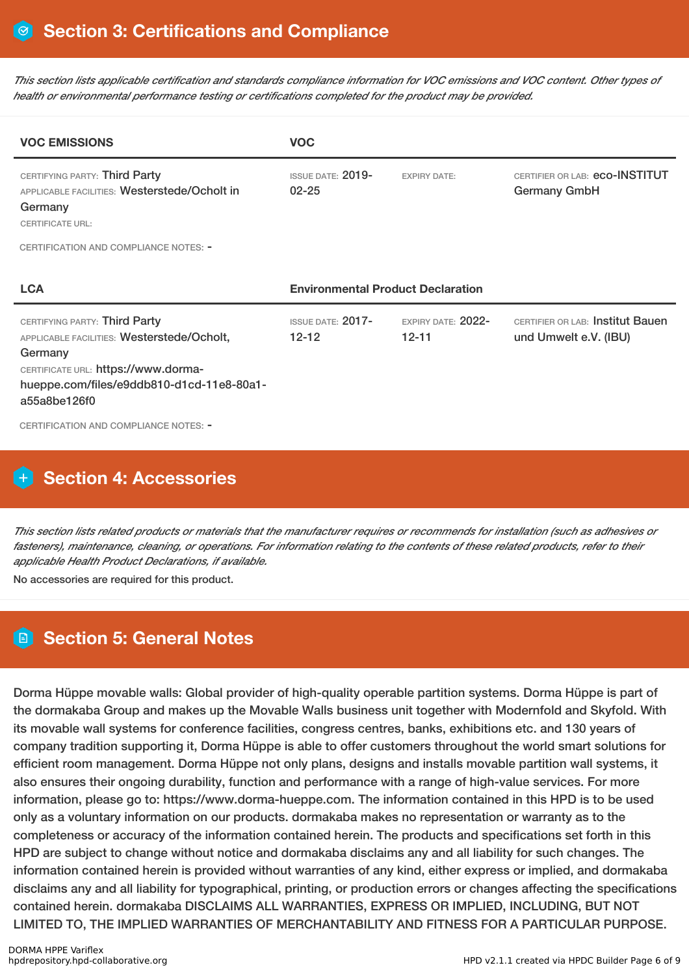This section lists applicable certification and standards compliance information for VOC emissions and VOC content. Other types of *health or environmental performance testing or certifications completed for the product may be provided.*

| <b>VOC EMISSIONS</b>                                                                                                                                                                       | <b>VOC</b>                               |                                        |                                                                  |  |  |
|--------------------------------------------------------------------------------------------------------------------------------------------------------------------------------------------|------------------------------------------|----------------------------------------|------------------------------------------------------------------|--|--|
| CERTIFYING PARTY: Third Party<br>APPLICABLE FACILITIES: Westerstede/Ocholt in<br>Germany<br><b>CERTIFICATE URL:</b><br>CERTIFICATION AND COMPLIANCE NOTES: -                               | <b>ISSUE DATE: 2019-</b><br>$02 - 25$    | <b>FXPIRY DATE:</b>                    | CERTIFIER OR LAB: eCO-INSTITUT<br><b>Germany GmbH</b>            |  |  |
| <b>LCA</b>                                                                                                                                                                                 | <b>Environmental Product Declaration</b> |                                        |                                                                  |  |  |
| CERTIFYING PARTY: Third Party<br>APPLICABLE FACILITIES: Westerstede/Ocholt,<br>Germany<br>CERTIFICATE URL: https://www.dorma-<br>hueppe.com/files/e9ddb810-d1cd-11e8-80a1-<br>a55a8be126f0 | $ISSUF$ DATE: $2017-$<br>$12 - 12$       | <b>FXPIRY DATE: 2022-</b><br>$12 - 11$ | <b>CERTIFIER OR LAB: Institut Bauen</b><br>und Umwelt e.V. (IBU) |  |  |
| CERTIFICATION AND COMPLIANCE NOTES: -                                                                                                                                                      |                                          |                                        |                                                                  |  |  |

# **Section 4: Accessories**

This section lists related products or materials that the manufacturer requires or recommends for installation (such as adhesives or fasteners), maintenance, cleaning, or operations. For information relating to the contents of these related products, refer to their *applicable Health Product Declarations, if available.*

No accessories are required for this product.

## **Section 5: General Notes**

Dorma Hüppe movable walls: Global provider of high-quality operable partition systems. Dorma Hüppe is part of the dormakaba Group and makes up the Movable Walls business unit together with Modernfold and Skyfold. With its movable wall systems for conference facilities, congress centres, banks, exhibitions etc. and 130 years of company tradition supporting it, Dorma Hüppe is able to offer customers throughout the world smart solutions for efficient room management. Dorma Hüppe not only plans, designs and installs movable partition wall systems, it also ensures their ongoing durability, function and performance with a range of high-value services. For more information, please go to: https://www.dorma-hueppe.com. The information contained in this HPD is to be used only as a voluntary information on our products. dormakaba makes no representation or warranty as to the completeness or accuracy of the information contained herein. The products and specifications set forth in this HPD are subject to change without notice and dormakaba disclaims any and all liability for such changes. The information contained herein is provided without warranties of any kind, either express or implied, and dormakaba disclaims any and all liability for typographical, printing, or production errors or changes affecting the specifications contained herein. dormakaba DISCLAIMS ALL WARRANTIES, EXPRESS OR IMPLIED, INCLUDING, BUT NOT LIMITED TO, THE IMPLIED WARRANTIES OF MERCHANTABILITY AND FITNESS FOR A PARTICULAR PURPOSE.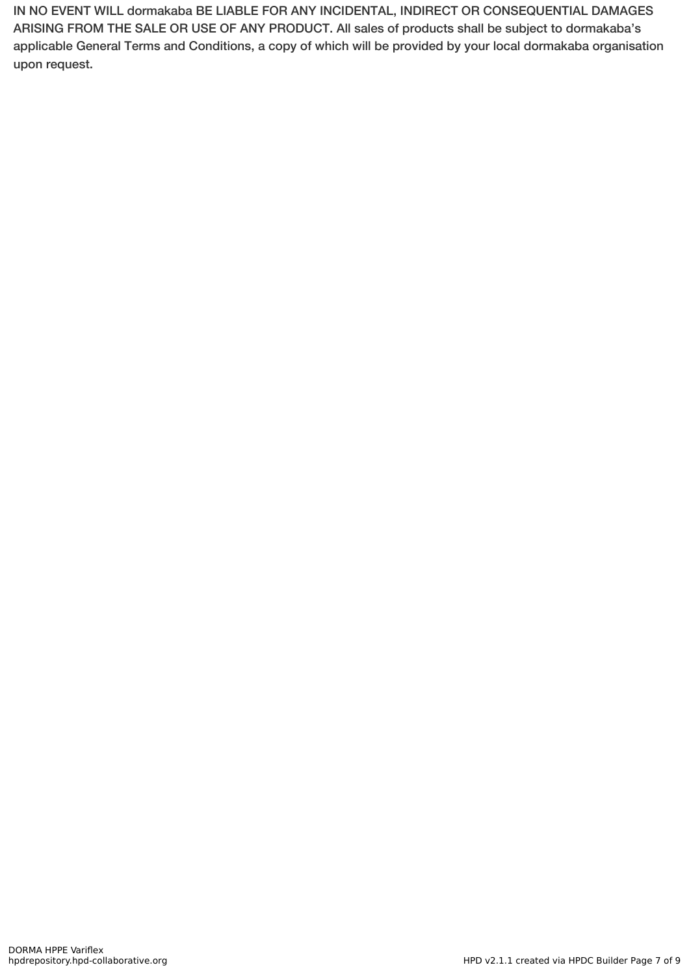IN NO EVENT WILL dormakaba BE LIABLE FOR ANY INCIDENTAL, INDIRECT OR CONSEQUENTIAL DAMAGES ARISING FROM THE SALE OR USE OF ANY PRODUCT. All sales of products shall be subject to dormakaba's applicable General Terms and Conditions, a copy of which will be provided by your local dormakaba organisation upon request.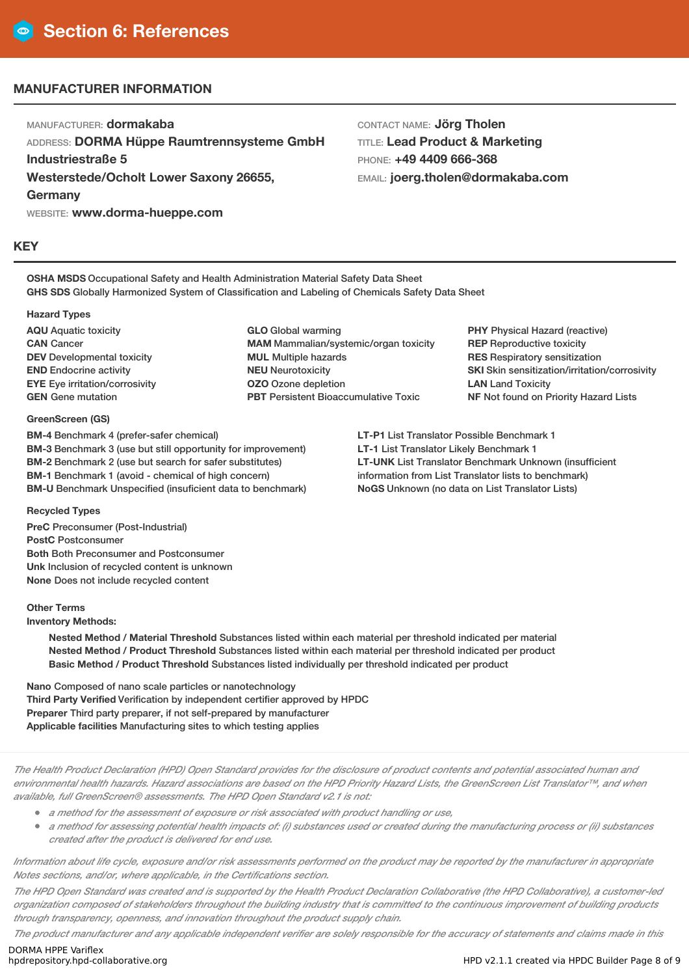### **MANUFACTURER INFORMATION**

MANUFACTURER: **dormakaba**

ADDRESS: **DORMA Hüppe Raumtrennsysteme GmbH Industriestraße 5 Westerstede/Ocholt Lower Saxony 26655, Germany**

WEBSITE: **www.dorma-hueppe.com**

#### **KEY**

CONTACT NAME: **Jörg Tholen** TITLE: **Lead Product & Marketing** PHONE: **+49 4409 666-368** EMAIL: **joerg.tholen@dormakaba.com**

**OSHA MSDS** Occupational Safety and Health Administration Material Safety Data Sheet **GHS SDS** Globally Harmonized System of Classification and Labeling of Chemicals Safety Data Sheet

#### **Hazard Types**

**AQU** Aquatic toxicity **CAN** Cancer **DEV** Developmental toxicity **END** Endocrine activity **EYE** Eye irritation/corrosivity **GEN** Gene mutation

#### **GreenScreen (GS)**

**BM-4** Benchmark 4 (prefer-safer chemical) **BM-3** Benchmark 3 (use but still opportunity for improvement) **BM-2** Benchmark 2 (use but search for safer substitutes) **BM-1** Benchmark 1 (avoid - chemical of high concern) **BM-U** Benchmark Unspecified (insuficient data to benchmark)

**GLO** Global warming **MAM** Mammalian/systemic/organ toxicity **MUL** Multiple hazards **NEU** Neurotoxicity **OZO** Ozone depletion **PBT** Persistent Bioaccumulative Toxic

**PHY** Physical Hazard (reactive) **REP** Reproductive toxicity **RES** Respiratory sensitization **SKI** Skin sensitization/irritation/corrosivity **LAN** Land Toxicity **NF** Not found on Priority Hazard Lists

**LT-P1** List Translator Possible Benchmark 1 **LT-1** List Translator Likely Benchmark 1 **LT-UNK** List Translator Benchmark Unknown (insufficient information from List Translator lists to benchmark) **NoGS** Unknown (no data on List Translator Lists)

#### **Recycled Types**

**PreC** Preconsumer (Post-Industrial) **PostC** Postconsumer **Both** Both Preconsumer and Postconsumer **Unk** Inclusion of recycled content is unknown **None** Does not include recycled content

#### **Other Terms**

**Inventory Methods:**

**Nested Method / Material Threshold** Substances listed within each material per threshold indicated per material **Nested Method / Product Threshold** Substances listed within each material per threshold indicated per product **Basic Method / Product Threshold** Substances listed individually per threshold indicated per product

**Nano** Composed of nano scale particles or nanotechnology **Third Party Verified** Verification by independent certifier approved by HPDC **Preparer** Third party preparer, if not self-prepared by manufacturer **Applicable facilities** Manufacturing sites to which testing applies

The Health Product Declaration (HPD) Open Standard provides for the disclosure of product contents and potential associated human and environmental health hazards. Hazard associations are based on the HPD Priority Hazard Lists, the GreenScreen List Translator™, and when *available, full GreenScreen® assessments. The HPD Open Standard v2.1 is not:*

- *<sup>a</sup> method for the assessment of exposure or risk associated with product handling or use,*
- a method for assessing potential health impacts of: (i) substances used or created during the manufacturing process or (ii) substances *created after the product is delivered for end use.*

Information about life cycle, exposure and/or risk assessments performed on the product may be reported by the manufacturer in appropriate *Notes sections, and/or, where applicable, in the Certifications section.*

The HPD Open Standard was created and is supported by the Health Product Declaration Collaborative (the HPD Collaborative), a customer-led organization composed of stakeholders throughout the building industry that is committed to the continuous improvement of building products *through transparency, openness, and innovation throughout the product supply chain.*

The product manufacturer and any applicable independent verifier are solely responsible for the accuracy of statements and claims made in this